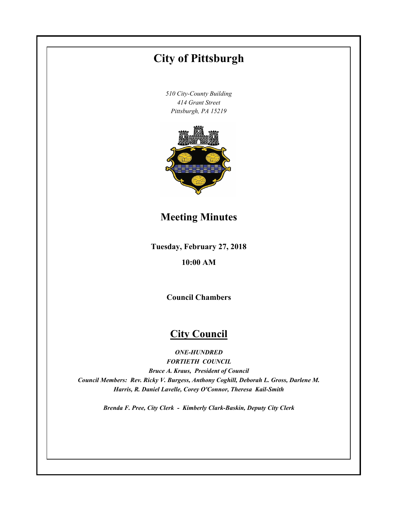# **Tuesday, February 27, 2018 10:00 AM City of Pittsburgh** *510 City-County Building 414 Grant Street Pittsburgh, PA 15219* **Council Chambers City Council** *ONE-HUNDRED FORTIETH COUNCIL* **Meeting Minutes**

*Bruce A. Kraus, President of Council Council Members: Rev. Ricky V. Burgess, Anthony Coghill, Deborah L. Gross, Darlene M. Harris, R. Daniel Lavelle, Corey O'Connor, Theresa Kail-Smith*

*Brenda F. Pree, City Clerk - Kimberly Clark-Baskin, Deputy City Clerk*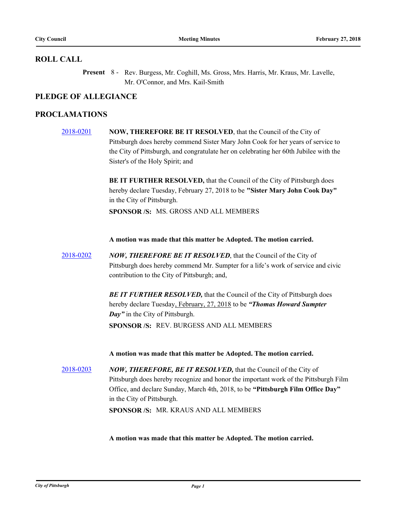# **ROLL CALL**

Present 8 - Rev. Burgess, Mr. Coghill, Ms. Gross, Mrs. Harris, Mr. Kraus, Mr. Lavelle, Mr. O'Connor, and Mrs. Kail-Smith

# **PLEDGE OF ALLEGIANCE**

# **PROCLAMATIONS**

[2018-0201](http://pittsburgh.legistar.com/gateway.aspx?m=l&id=/matter.aspx?key=22500) **NOW, THEREFORE BE IT RESOLVED**, that the Council of the City of Pittsburgh does hereby commend Sister Mary John Cook for her years of service to the City of Pittsburgh, and congratulate her on celebrating her 60th Jubilee with the Sister's of the Holy Spirit; and

> **BE IT FURTHER RESOLVED,** that the Council of the City of Pittsburgh does hereby declare Tuesday, February 27, 2018 to be **"Sister Mary John Cook Day"** in the City of Pittsburgh.

**SPONSOR /S:** MS. GROSS AND ALL MEMBERS

**A motion was made that this matter be Adopted. The motion carried.**

[2018-0202](http://pittsburgh.legistar.com/gateway.aspx?m=l&id=/matter.aspx?key=22501) *NOW, THEREFORE BE IT RESOLVED*, that the Council of the City of Pittsburgh does hereby commend Mr. Sumpter for a life's work of service and civic contribution to the City of Pittsburgh; and,

> **BE IT FURTHER RESOLVED, that the Council of the City of Pittsburgh does** hereby declare Tuesday, February, 27, 2018 to be *"Thomas Howard Sumpter Day"* in the City of Pittsburgh. **SPONSOR /S:** REV. BURGESS AND ALL MEMBERS

**A motion was made that this matter be Adopted. The motion carried.**

[2018-0203](http://pittsburgh.legistar.com/gateway.aspx?m=l&id=/matter.aspx?key=22502) *NOW, THEREFORE, BE IT RESOLVED,* that the Council of the City of Pittsburgh does hereby recognize and honor the important work of the Pittsburgh Film Office, and declare Sunday, March 4th, 2018, to be **"Pittsburgh Film Office Day"** in the City of Pittsburgh. **SPONSOR /S:** MR. KRAUS AND ALL MEMBERS

**A motion was made that this matter be Adopted. The motion carried.**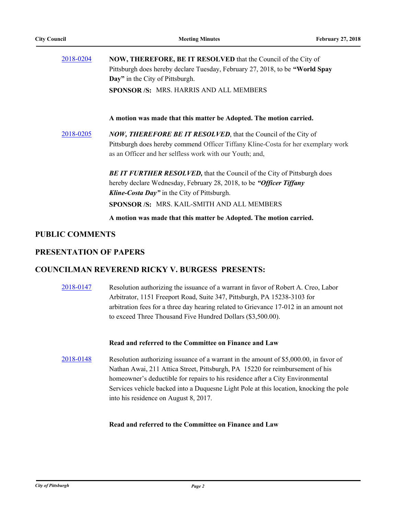| 2018-0204              | <b>NOW, THEREFORE, BE IT RESOLVED</b> that the Council of the City of<br>Pittsburgh does hereby declare Tuesday, February 27, 2018, to be "World Spay |
|------------------------|-------------------------------------------------------------------------------------------------------------------------------------------------------|
|                        | Day" in the City of Pittsburgh.                                                                                                                       |
|                        | <b>SPONSOR/S: MRS. HARRIS AND ALL MEMBERS</b>                                                                                                         |
|                        | A motion was made that this matter be Adopted. The motion carried.                                                                                    |
| 2018-0205              | <b>NOW, THEREFORE BE IT RESOLVED, that the Council of the City of</b>                                                                                 |
|                        | Pittsburgh does hereby commend Officer Tiffany Kline-Costa for her exemplary work                                                                     |
|                        | as an Officer and her selfless work with our Youth; and,                                                                                              |
|                        | <b>BE IT FURTHER RESOLVED, that the Council of the City of Pittsburgh does</b>                                                                        |
|                        | hereby declare Wednesday, February 28, 2018, to be "Officer Tiffany                                                                                   |
|                        | <b>Kline-Costa Day"</b> in the City of Pittsburgh.                                                                                                    |
|                        | SPONSOR /S: MRS. KAIL-SMITH AND ALL MEMBERS                                                                                                           |
|                        | A motion was made that this matter be Adopted. The motion carried.                                                                                    |
| <b>PUBLIC COMMENTS</b> |                                                                                                                                                       |

# **PRESENTATION OF PAPERS**

# **COUNCILMAN REVEREND RICKY V. BURGESS PRESENTS:**

[2018-0147](http://pittsburgh.legistar.com/gateway.aspx?m=l&id=/matter.aspx?key=22446) Resolution authorizing the issuance of a warrant in favor of Robert A. Creo, Labor Arbitrator, 1151 Freeport Road, Suite 347, Pittsburgh, PA 15238-3103 for arbitration fees for a three day hearing related to Grievance 17-012 in an amount not to exceed Three Thousand Five Hundred Dollars (\$3,500.00).

## **Read and referred to the Committee on Finance and Law**

[2018-0148](http://pittsburgh.legistar.com/gateway.aspx?m=l&id=/matter.aspx?key=22447) Resolution authorizing issuance of a warrant in the amount of \$5,000.00, in favor of Nathan Awai, 211 Attica Street, Pittsburgh, PA 15220 for reimbursement of his homeowner's deductible for repairs to his residence after a City Environmental Services vehicle backed into a Duquesne Light Pole at this location, knocking the pole into his residence on August 8, 2017.

## **Read and referred to the Committee on Finance and Law**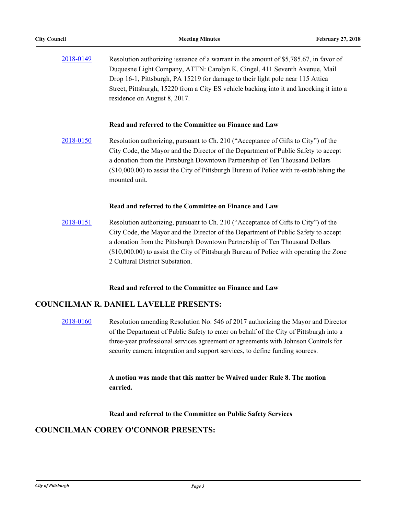| 2018-0149 | Resolution authorizing issuance of a warrant in the amount of \$5,785.67, in favor of   |
|-----------|-----------------------------------------------------------------------------------------|
|           | Duquesne Light Company, ATTN: Carolyn K. Cingel, 411 Seventh Avenue, Mail               |
|           | Drop 16-1, Pittsburgh, PA 15219 for damage to their light pole near 115 Attica          |
|           | Street, Pittsburgh, 15220 from a City ES vehicle backing into it and knocking it into a |
|           | residence on August 8, 2017.                                                            |

## **Read and referred to the Committee on Finance and Law**

[2018-0150](http://pittsburgh.legistar.com/gateway.aspx?m=l&id=/matter.aspx?key=22449) Resolution authorizing, pursuant to Ch. 210 ("Acceptance of Gifts to City") of the City Code, the Mayor and the Director of the Department of Public Safety to accept a donation from the Pittsburgh Downtown Partnership of Ten Thousand Dollars (\$10,000.00) to assist the City of Pittsburgh Bureau of Police with re-establishing the mounted unit.

## **Read and referred to the Committee on Finance and Law**

[2018-0151](http://pittsburgh.legistar.com/gateway.aspx?m=l&id=/matter.aspx?key=22450) Resolution authorizing, pursuant to Ch. 210 ("Acceptance of Gifts to City") of the City Code, the Mayor and the Director of the Department of Public Safety to accept a donation from the Pittsburgh Downtown Partnership of Ten Thousand Dollars (\$10,000.00) to assist the City of Pittsburgh Bureau of Police with operating the Zone 2 Cultural District Substation.

## **Read and referred to the Committee on Finance and Law**

# **COUNCILMAN R. DANIEL LAVELLE PRESENTS:**

[2018-0160](http://pittsburgh.legistar.com/gateway.aspx?m=l&id=/matter.aspx?key=22459) Resolution amending Resolution No. 546 of 2017 authorizing the Mayor and Director of the Department of Public Safety to enter on behalf of the City of Pittsburgh into a three-year professional services agreement or agreements with Johnson Controls for security camera integration and support services, to define funding sources.

> **A motion was made that this matter be Waived under Rule 8. The motion carried.**

**Read and referred to the Committee on Public Safety Services**

# **COUNCILMAN COREY O'CONNOR PRESENTS:**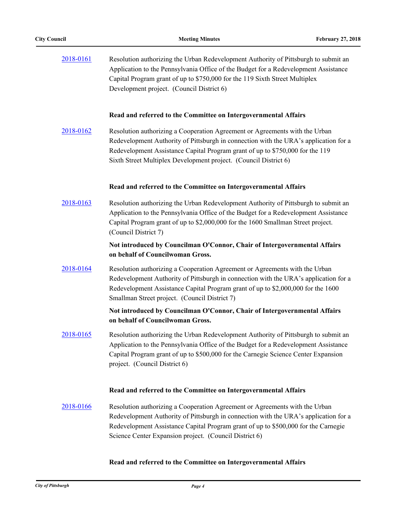| 2018-0161 | Resolution authorizing the Urban Redevelopment Authority of Pittsburgh to submit an<br>Application to the Pennsylvania Office of the Budget for a Redevelopment Assistance<br>Capital Program grant of up to \$750,000 for the 119 Sixth Street Multiplex<br>Development project. (Council District 6)                   |
|-----------|--------------------------------------------------------------------------------------------------------------------------------------------------------------------------------------------------------------------------------------------------------------------------------------------------------------------------|
|           | Read and referred to the Committee on Intergovernmental Affairs                                                                                                                                                                                                                                                          |
| 2018-0162 | Resolution authorizing a Cooperation Agreement or Agreements with the Urban<br>Redevelopment Authority of Pittsburgh in connection with the URA's application for a<br>Redevelopment Assistance Capital Program grant of up to \$750,000 for the 119<br>Sixth Street Multiplex Development project. (Council District 6) |
|           | Read and referred to the Committee on Intergovernmental Affairs                                                                                                                                                                                                                                                          |
| 2018-0163 | Resolution authorizing the Urban Redevelopment Authority of Pittsburgh to submit an<br>Application to the Pennsylvania Office of the Budget for a Redevelopment Assistance<br>Capital Program grant of up to \$2,000,000 for the 1600 Smallman Street project.<br>(Council District 7)                                   |
|           | Not introduced by Councilman O'Connor, Chair of Intergovernmental Affairs<br>on behalf of Councilwoman Gross.                                                                                                                                                                                                            |
| 2018-0164 | Resolution authorizing a Cooperation Agreement or Agreements with the Urban<br>Redevelopment Authority of Pittsburgh in connection with the URA's application for a<br>Redevelopment Assistance Capital Program grant of up to \$2,000,000 for the 1600<br>Smallman Street project. (Council District 7)                 |
|           | Not introduced by Councilman O'Connor, Chair of Intergovernmental Affairs<br>on behalf of Councilwoman Gross.                                                                                                                                                                                                            |
| 2018-0165 | Resolution authorizing the Urban Redevelopment Authority of Pittsburgh to submit an<br>Application to the Pennsylvania Office of the Budget for a Redevelopment Assistance<br>Capital Program grant of up to \$500,000 for the Carnegie Science Center Expansion<br>project. (Council District 6)                        |
|           | Read and referred to the Committee on Intergovernmental Affairs                                                                                                                                                                                                                                                          |
| 2018-0166 | Resolution authorizing a Cooperation Agreement or Agreements with the Urban<br>Redevelopment Authority of Pittsburgh in connection with the URA's application for a<br>Redevelopment Assistance Capital Program grant of up to \$500,000 for the Carnegie<br>Science Center Expansion project. (Council District 6)      |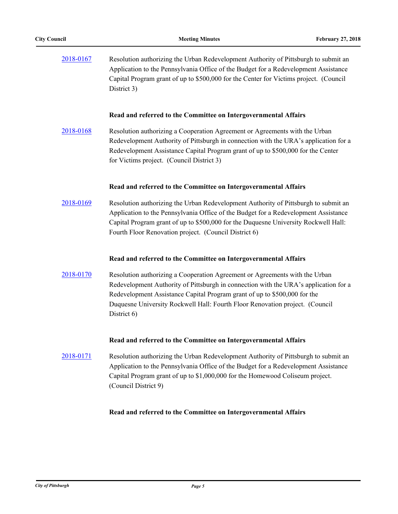| 2018-0167 | Resolution authorizing the Urban Redevelopment Authority of Pittsburgh to submit an<br>Application to the Pennsylvania Office of the Budget for a Redevelopment Assistance<br>Capital Program grant of up to \$500,000 for the Center for Victims project. (Council<br>District 3)                                                              |
|-----------|-------------------------------------------------------------------------------------------------------------------------------------------------------------------------------------------------------------------------------------------------------------------------------------------------------------------------------------------------|
|           | Read and referred to the Committee on Intergovernmental Affairs                                                                                                                                                                                                                                                                                 |
| 2018-0168 | Resolution authorizing a Cooperation Agreement or Agreements with the Urban<br>Redevelopment Authority of Pittsburgh in connection with the URA's application for a<br>Redevelopment Assistance Capital Program grant of up to \$500,000 for the Center<br>for Victims project. (Council District 3)                                            |
|           | Read and referred to the Committee on Intergovernmental Affairs                                                                                                                                                                                                                                                                                 |
| 2018-0169 | Resolution authorizing the Urban Redevelopment Authority of Pittsburgh to submit an<br>Application to the Pennsylvania Office of the Budget for a Redevelopment Assistance<br>Capital Program grant of up to \$500,000 for the Duquesne University Rockwell Hall:<br>Fourth Floor Renovation project. (Council District 6)                      |
|           | Read and referred to the Committee on Intergovernmental Affairs                                                                                                                                                                                                                                                                                 |
| 2018-0170 | Resolution authorizing a Cooperation Agreement or Agreements with the Urban<br>Redevelopment Authority of Pittsburgh in connection with the URA's application for a<br>Redevelopment Assistance Capital Program grant of up to \$500,000 for the<br>Duquesne University Rockwell Hall: Fourth Floor Renovation project. (Council<br>District 6) |
|           | Read and referred to the Committee on Intergovernmental Affairs                                                                                                                                                                                                                                                                                 |
| 2018-0171 | Resolution authorizing the Urban Redevelopment Authority of Pittsburgh to submit an<br>Application to the Pennsylvania Office of the Budget for a Redevelopment Assistance<br>Capital Program grant of up to \$1,000,000 for the Homewood Coliseum project.<br>(Council District 9)                                                             |
|           | Read and referred to the Committee on Intergovernmental Affairs                                                                                                                                                                                                                                                                                 |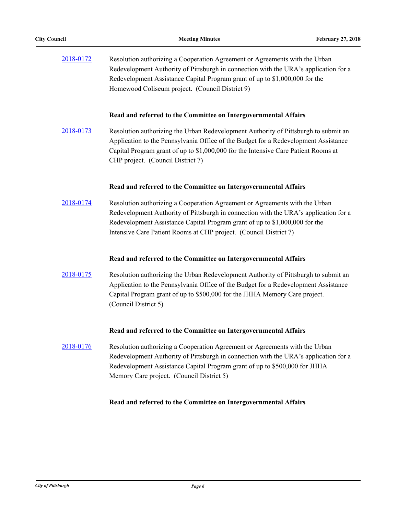| 2018-0172 | Resolution authorizing a Cooperation Agreement or Agreements with the Urban<br>Redevelopment Authority of Pittsburgh in connection with the URA's application for a<br>Redevelopment Assistance Capital Program grant of up to \$1,000,000 for the<br>Homewood Coliseum project. (Council District 9)                   |
|-----------|-------------------------------------------------------------------------------------------------------------------------------------------------------------------------------------------------------------------------------------------------------------------------------------------------------------------------|
|           | Read and referred to the Committee on Intergovernmental Affairs                                                                                                                                                                                                                                                         |
| 2018-0173 | Resolution authorizing the Urban Redevelopment Authority of Pittsburgh to submit an<br>Application to the Pennsylvania Office of the Budget for a Redevelopment Assistance<br>Capital Program grant of up to \$1,000,000 for the Intensive Care Patient Rooms at<br>CHP project. (Council District 7)                   |
|           | Read and referred to the Committee on Intergovernmental Affairs                                                                                                                                                                                                                                                         |
| 2018-0174 | Resolution authorizing a Cooperation Agreement or Agreements with the Urban<br>Redevelopment Authority of Pittsburgh in connection with the URA's application for a<br>Redevelopment Assistance Capital Program grant of up to \$1,000,000 for the<br>Intensive Care Patient Rooms at CHP project. (Council District 7) |
|           | Read and referred to the Committee on Intergovernmental Affairs                                                                                                                                                                                                                                                         |
| 2018-0175 | Resolution authorizing the Urban Redevelopment Authority of Pittsburgh to submit an<br>Application to the Pennsylvania Office of the Budget for a Redevelopment Assistance<br>Capital Program grant of up to \$500,000 for the JHHA Memory Care project.<br>(Council District 5)                                        |
|           | Read and referred to the Committee on Intergovernmental Affairs                                                                                                                                                                                                                                                         |
| 2018-0176 | Resolution authorizing a Cooperation Agreement or Agreements with the Urban<br>Redevelopment Authority of Pittsburgh in connection with the URA's application for a<br>Redevelopment Assistance Capital Program grant of up to \$500,000 for JHHA<br>Memory Care project. (Council District 5)                          |
|           | Read and referred to the Committee on Intergovernmental Affairs                                                                                                                                                                                                                                                         |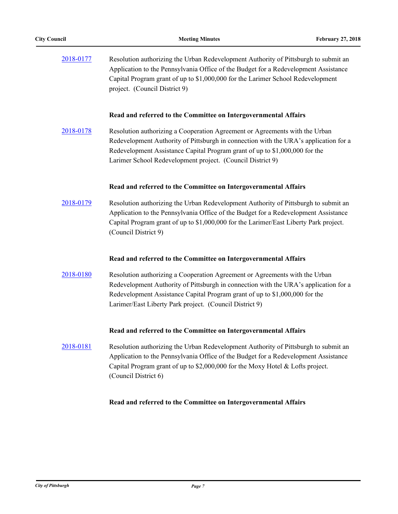| 2018-0177 | Resolution authorizing the Urban Redevelopment Authority of Pittsburgh to submit an<br>Application to the Pennsylvania Office of the Budget for a Redevelopment Assistance<br>Capital Program grant of up to \$1,000,000 for the Larimer School Redevelopment<br>project. (Council District 9)                   |
|-----------|------------------------------------------------------------------------------------------------------------------------------------------------------------------------------------------------------------------------------------------------------------------------------------------------------------------|
|           | Read and referred to the Committee on Intergovernmental Affairs                                                                                                                                                                                                                                                  |
| 2018-0178 | Resolution authorizing a Cooperation Agreement or Agreements with the Urban<br>Redevelopment Authority of Pittsburgh in connection with the URA's application for a<br>Redevelopment Assistance Capital Program grant of up to \$1,000,000 for the<br>Larimer School Redevelopment project. (Council District 9) |
|           | Read and referred to the Committee on Intergovernmental Affairs                                                                                                                                                                                                                                                  |
| 2018-0179 | Resolution authorizing the Urban Redevelopment Authority of Pittsburgh to submit an<br>Application to the Pennsylvania Office of the Budget for a Redevelopment Assistance<br>Capital Program grant of up to \$1,000,000 for the Larimer/East Liberty Park project.<br>(Council District 9)                      |
|           | Read and referred to the Committee on Intergovernmental Affairs                                                                                                                                                                                                                                                  |
| 2018-0180 | Resolution authorizing a Cooperation Agreement or Agreements with the Urban<br>Redevelopment Authority of Pittsburgh in connection with the URA's application for a<br>Redevelopment Assistance Capital Program grant of up to \$1,000,000 for the<br>Larimer/East Liberty Park project. (Council District 9)    |
|           | Read and referred to the Committee on Intergovernmental Affairs                                                                                                                                                                                                                                                  |
| 2018-0181 | Resolution authorizing the Urban Redevelopment Authority of Pittsburgh to submit an<br>Application to the Pennsylvania Office of the Budget for a Redevelopment Assistance<br>Capital Program grant of up to \$2,000,000 for the Moxy Hotel & Lofts project.<br>(Council District 6)                             |
|           | Read and referred to the Committee on Intergovernmental Affairs                                                                                                                                                                                                                                                  |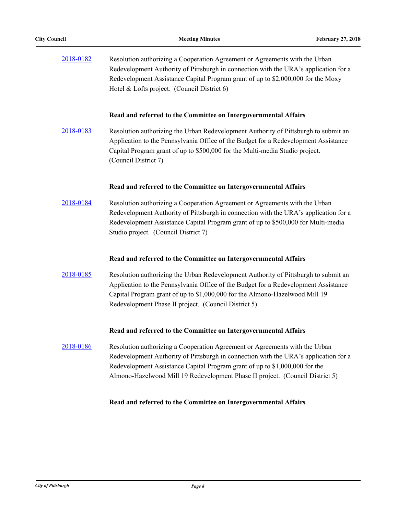| 2018-0182 | Resolution authorizing a Cooperation Agreement or Agreements with the Urban<br>Redevelopment Authority of Pittsburgh in connection with the URA's application for a<br>Redevelopment Assistance Capital Program grant of up to \$2,000,000 for the Moxy<br>Hotel & Lofts project. (Council District 6)                              |
|-----------|-------------------------------------------------------------------------------------------------------------------------------------------------------------------------------------------------------------------------------------------------------------------------------------------------------------------------------------|
|           | Read and referred to the Committee on Intergovernmental Affairs                                                                                                                                                                                                                                                                     |
| 2018-0183 | Resolution authorizing the Urban Redevelopment Authority of Pittsburgh to submit an<br>Application to the Pennsylvania Office of the Budget for a Redevelopment Assistance<br>Capital Program grant of up to \$500,000 for the Multi-media Studio project.<br>(Council District 7)                                                  |
|           | Read and referred to the Committee on Intergovernmental Affairs                                                                                                                                                                                                                                                                     |
| 2018-0184 | Resolution authorizing a Cooperation Agreement or Agreements with the Urban<br>Redevelopment Authority of Pittsburgh in connection with the URA's application for a<br>Redevelopment Assistance Capital Program grant of up to \$500,000 for Multi-media<br>Studio project. (Council District 7)                                    |
|           | Read and referred to the Committee on Intergovernmental Affairs                                                                                                                                                                                                                                                                     |
| 2018-0185 | Resolution authorizing the Urban Redevelopment Authority of Pittsburgh to submit an<br>Application to the Pennsylvania Office of the Budget for a Redevelopment Assistance<br>Capital Program grant of up to \$1,000,000 for the Almono-Hazelwood Mill 19<br>Redevelopment Phase II project. (Council District 5)                   |
|           | Read and referred to the Committee on Intergovernmental Affairs                                                                                                                                                                                                                                                                     |
| 2018-0186 | Resolution authorizing a Cooperation Agreement or Agreements with the Urban<br>Redevelopment Authority of Pittsburgh in connection with the URA's application for a<br>Redevelopment Assistance Capital Program grant of up to \$1,000,000 for the<br>Almono-Hazelwood Mill 19 Redevelopment Phase II project. (Council District 5) |
|           |                                                                                                                                                                                                                                                                                                                                     |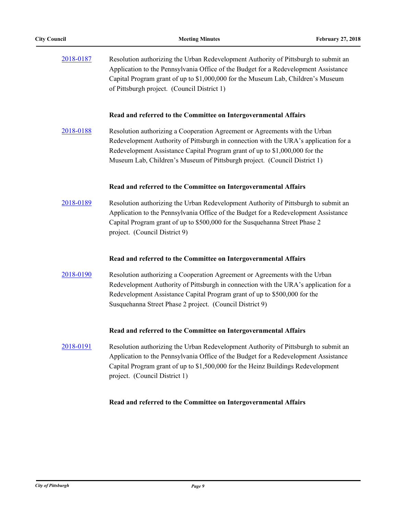| 2018-0187 | Resolution authorizing the Urban Redevelopment Authority of Pittsburgh to submit an<br>Application to the Pennsylvania Office of the Budget for a Redevelopment Assistance<br>Capital Program grant of up to \$1,000,000 for the Museum Lab, Children's Museum<br>of Pittsburgh project. (Council District 1)                   |
|-----------|---------------------------------------------------------------------------------------------------------------------------------------------------------------------------------------------------------------------------------------------------------------------------------------------------------------------------------|
|           | Read and referred to the Committee on Intergovernmental Affairs                                                                                                                                                                                                                                                                 |
| 2018-0188 | Resolution authorizing a Cooperation Agreement or Agreements with the Urban<br>Redevelopment Authority of Pittsburgh in connection with the URA's application for a<br>Redevelopment Assistance Capital Program grant of up to \$1,000,000 for the<br>Museum Lab, Children's Museum of Pittsburgh project. (Council District 1) |
|           | Read and referred to the Committee on Intergovernmental Affairs                                                                                                                                                                                                                                                                 |
| 2018-0189 | Resolution authorizing the Urban Redevelopment Authority of Pittsburgh to submit an<br>Application to the Pennsylvania Office of the Budget for a Redevelopment Assistance<br>Capital Program grant of up to \$500,000 for the Susquehanna Street Phase 2<br>project. (Council District 9)                                      |
|           | Read and referred to the Committee on Intergovernmental Affairs                                                                                                                                                                                                                                                                 |
| 2018-0190 | Resolution authorizing a Cooperation Agreement or Agreements with the Urban<br>Redevelopment Authority of Pittsburgh in connection with the URA's application for a<br>Redevelopment Assistance Capital Program grant of up to \$500,000 for the<br>Susquehanna Street Phase 2 project. (Council District 9)                    |
|           | Read and referred to the Committee on Intergovernmental Affairs                                                                                                                                                                                                                                                                 |
| 2018-0191 | Resolution authorizing the Urban Redevelopment Authority of Pittsburgh to submit an<br>Application to the Pennsylvania Office of the Budget for a Redevelopment Assistance<br>Capital Program grant of up to \$1,500,000 for the Heinz Buildings Redevelopment<br>project. (Council District 1)                                 |
|           |                                                                                                                                                                                                                                                                                                                                 |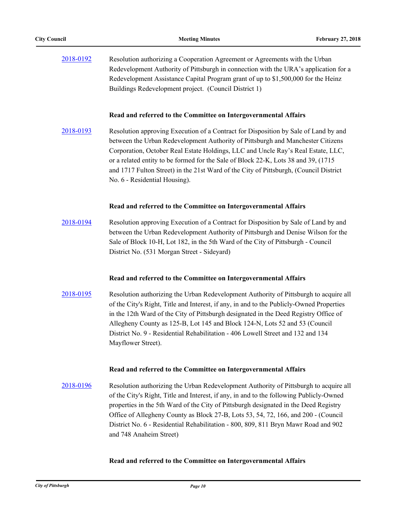| 2018-0192 | Resolution authorizing a Cooperation Agreement or Agreements with the Urban          |
|-----------|--------------------------------------------------------------------------------------|
|           | Redevelopment Authority of Pittsburgh in connection with the URA's application for a |
|           | Redevelopment Assistance Capital Program grant of up to \$1,500,000 for the Heinz    |
|           | Buildings Redevelopment project. (Council District 1)                                |

[2018-0193](http://pittsburgh.legistar.com/gateway.aspx?m=l&id=/matter.aspx?key=22492) Resolution approving Execution of a Contract for Disposition by Sale of Land by and between the Urban Redevelopment Authority of Pittsburgh and Manchester Citizens Corporation, October Real Estate Holdings, LLC and Uncle Ray's Real Estate, LLC, or a related entity to be formed for the Sale of Block 22-K, Lots 38 and 39, (1715 and 1717 Fulton Street) in the 21st Ward of the City of Pittsburgh, (Council District No. 6 - Residential Housing).

#### **Read and referred to the Committee on Intergovernmental Affairs**

[2018-0194](http://pittsburgh.legistar.com/gateway.aspx?m=l&id=/matter.aspx?key=22493) Resolution approving Execution of a Contract for Disposition by Sale of Land by and between the Urban Redevelopment Authority of Pittsburgh and Denise Wilson for the Sale of Block 10-H, Lot 182, in the 5th Ward of the City of Pittsburgh - Council District No. (531 Morgan Street - Sideyard)

## **Read and referred to the Committee on Intergovernmental Affairs**

[2018-0195](http://pittsburgh.legistar.com/gateway.aspx?m=l&id=/matter.aspx?key=22494) Resolution authorizing the Urban Redevelopment Authority of Pittsburgh to acquire all of the City's Right, Title and Interest, if any, in and to the Publicly-Owned Properties in the 12th Ward of the City of Pittsburgh designated in the Deed Registry Office of Allegheny County as 125-B, Lot 145 and Block 124-N, Lots 52 and 53 (Council District No. 9 - Residential Rehabilitation - 406 Lowell Street and 132 and 134 Mayflower Street).

#### **Read and referred to the Committee on Intergovernmental Affairs**

[2018-0196](http://pittsburgh.legistar.com/gateway.aspx?m=l&id=/matter.aspx?key=22495) Resolution authorizing the Urban Redevelopment Authority of Pittsburgh to acquire all of the City's Right, Title and Interest, if any, in and to the following Publicly-Owned properties in the 5th Ward of the City of Pittsburgh designated in the Deed Registry Office of Allegheny County as Block 27-B, Lots 53, 54, 72, 166, and 200 - (Council District No. 6 - Residential Rehabilitation - 800, 809, 811 Bryn Mawr Road and 902 and 748 Anaheim Street)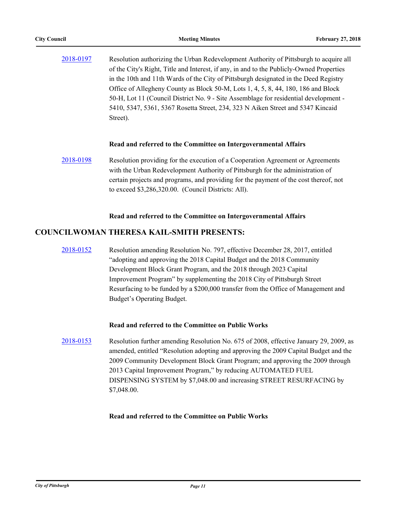| of the City's Right, Title and Interest, if any, in and to the Publicly-Owned Properties<br>in the 10th and 11th Wards of the City of Pittsburgh designated in the Deed Registry<br>Office of Allegheny County as Block 50-M, Lots 1, 4, 5, 8, 44, 180, 186 and Block<br>50-H, Lot 11 (Council District No. 9 - Site Assemblage for residential development -<br>5410, 5347, 5361, 5367 Rosetta Street, 234, 323 N Aiken Street and 5347 Kincaid<br>Street). | 2018-0197 | Resolution authorizing the Urban Redevelopment Authority of Pittsburgh to acquire all |
|--------------------------------------------------------------------------------------------------------------------------------------------------------------------------------------------------------------------------------------------------------------------------------------------------------------------------------------------------------------------------------------------------------------------------------------------------------------|-----------|---------------------------------------------------------------------------------------|
|                                                                                                                                                                                                                                                                                                                                                                                                                                                              |           |                                                                                       |
|                                                                                                                                                                                                                                                                                                                                                                                                                                                              |           |                                                                                       |
|                                                                                                                                                                                                                                                                                                                                                                                                                                                              |           |                                                                                       |
|                                                                                                                                                                                                                                                                                                                                                                                                                                                              |           |                                                                                       |
|                                                                                                                                                                                                                                                                                                                                                                                                                                                              |           |                                                                                       |
|                                                                                                                                                                                                                                                                                                                                                                                                                                                              |           |                                                                                       |

[2018-0198](http://pittsburgh.legistar.com/gateway.aspx?m=l&id=/matter.aspx?key=22497) Resolution providing for the execution of a Cooperation Agreement or Agreements with the Urban Redevelopment Authority of Pittsburgh for the administration of certain projects and programs, and providing for the payment of the cost thereof, not to exceed \$3,286,320.00. (Council Districts: All).

## **Read and referred to the Committee on Intergovernmental Affairs**

# **COUNCILWOMAN THERESA KAIL-SMITH PRESENTS:**

[2018-0152](http://pittsburgh.legistar.com/gateway.aspx?m=l&id=/matter.aspx?key=22451) Resolution amending Resolution No. 797, effective December 28, 2017, entitled "adopting and approving the 2018 Capital Budget and the 2018 Community Development Block Grant Program, and the 2018 through 2023 Capital Improvement Program" by supplementing the 2018 City of Pittsburgh Street Resurfacing to be funded by a \$200,000 transfer from the Office of Management and Budget's Operating Budget.

## **Read and referred to the Committee on Public Works**

[2018-0153](http://pittsburgh.legistar.com/gateway.aspx?m=l&id=/matter.aspx?key=22452) Resolution further amending Resolution No. 675 of 2008, effective January 29, 2009, as amended, entitled "Resolution adopting and approving the 2009 Capital Budget and the 2009 Community Development Block Grant Program; and approving the 2009 through 2013 Capital Improvement Program," by reducing AUTOMATED FUEL DISPENSING SYSTEM by \$7,048.00 and increasing STREET RESURFACING by \$7,048.00.

## **Read and referred to the Committee on Public Works**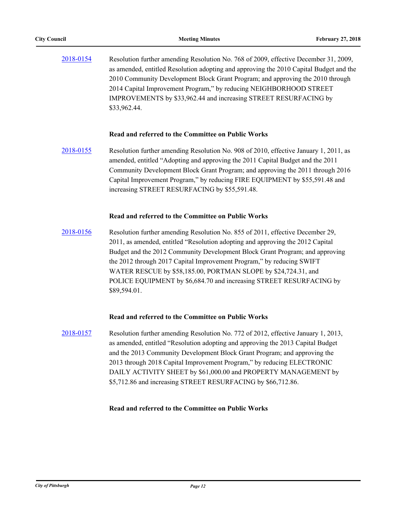[2018-0154](http://pittsburgh.legistar.com/gateway.aspx?m=l&id=/matter.aspx?key=22453) Resolution further amending Resolution No. 768 of 2009, effective December 31, 2009, as amended, entitled Resolution adopting and approving the 2010 Capital Budget and the 2010 Community Development Block Grant Program; and approving the 2010 through 2014 Capital Improvement Program," by reducing NEIGHBORHOOD STREET IMPROVEMENTS by \$33,962.44 and increasing STREET RESURFACING by \$33,962.44.

## **Read and referred to the Committee on Public Works**

[2018-0155](http://pittsburgh.legistar.com/gateway.aspx?m=l&id=/matter.aspx?key=22454) Resolution further amending Resolution No. 908 of 2010, effective January 1, 2011, as amended, entitled "Adopting and approving the 2011 Capital Budget and the 2011 Community Development Block Grant Program; and approving the 2011 through 2016 Capital Improvement Program," by reducing FIRE EQUIPMENT by \$55,591.48 and increasing STREET RESURFACING by \$55,591.48.

## **Read and referred to the Committee on Public Works**

[2018-0156](http://pittsburgh.legistar.com/gateway.aspx?m=l&id=/matter.aspx?key=22455) Resolution further amending Resolution No. 855 of 2011, effective December 29, 2011, as amended, entitled "Resolution adopting and approving the 2012 Capital Budget and the 2012 Community Development Block Grant Program; and approving the 2012 through 2017 Capital Improvement Program," by reducing SWIFT WATER RESCUE by \$58,185.00, PORTMAN SLOPE by \$24,724.31, and POLICE EQUIPMENT by \$6,684.70 and increasing STREET RESURFACING by \$89,594.01.

## **Read and referred to the Committee on Public Works**

[2018-0157](http://pittsburgh.legistar.com/gateway.aspx?m=l&id=/matter.aspx?key=22456) Resolution further amending Resolution No. 772 of 2012, effective January 1, 2013, as amended, entitled "Resolution adopting and approving the 2013 Capital Budget and the 2013 Community Development Block Grant Program; and approving the 2013 through 2018 Capital Improvement Program," by reducing ELECTRONIC DAILY ACTIVITY SHEET by \$61,000.00 and PROPERTY MANAGEMENT by \$5,712.86 and increasing STREET RESURFACING by \$66,712.86.

## **Read and referred to the Committee on Public Works**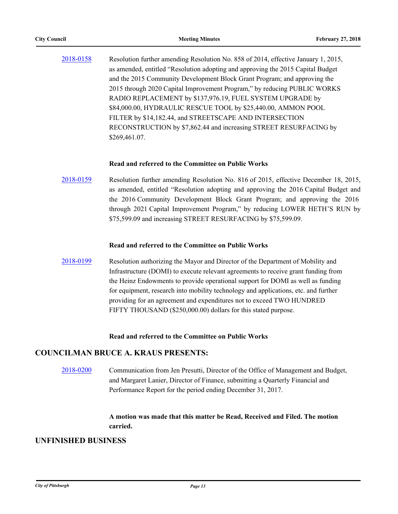[2018-0158](http://pittsburgh.legistar.com/gateway.aspx?m=l&id=/matter.aspx?key=22457) Resolution further amending Resolution No. 858 of 2014, effective January 1, 2015, as amended, entitled "Resolution adopting and approving the 2015 Capital Budget and the 2015 Community Development Block Grant Program; and approving the 2015 through 2020 Capital Improvement Program," by reducing PUBLIC WORKS RADIO REPLACEMENT by \$137,976.19, FUEL SYSTEM UPGRADE by \$84,000.00, HYDRAULIC RESCUE TOOL by \$25,440.00, AMMON POOL FILTER by \$14,182.44, and STREETSCAPE AND INTERSECTION RECONSTRUCTION by \$7,862.44 and increasing STREET RESURFACING by \$269,461.07.

## **Read and referred to the Committee on Public Works**

[2018-0159](http://pittsburgh.legistar.com/gateway.aspx?m=l&id=/matter.aspx?key=22458) Resolution further amending Resolution No. 816 of 2015, effective December 18, 2015, as amended, entitled "Resolution adopting and approving the 2016 Capital Budget and the 2016 Community Development Block Grant Program; and approving the 2016 through 2021 Capital Improvement Program," by reducing LOWER HETH'S RUN by \$75,599.09 and increasing STREET RESURFACING by \$75,599.09.

#### **Read and referred to the Committee on Public Works**

[2018-0199](http://pittsburgh.legistar.com/gateway.aspx?m=l&id=/matter.aspx?key=22498) Resolution authorizing the Mayor and Director of the Department of Mobility and Infrastructure (DOMI) to execute relevant agreements to receive grant funding from the Heinz Endowments to provide operational support for DOMI as well as funding for equipment, research into mobility technology and applications, etc. and further providing for an agreement and expenditures not to exceed TWO HUNDRED FIFTY THOUSAND (\$250,000.00) dollars for this stated purpose.

## **Read and referred to the Committee on Public Works**

## **COUNCILMAN BRUCE A. KRAUS PRESENTS:**

[2018-0200](http://pittsburgh.legistar.com/gateway.aspx?m=l&id=/matter.aspx?key=22499) Communication from Jen Presutti, Director of the Office of Management and Budget, and Margaret Lanier, Director of Finance, submitting a Quarterly Financial and Performance Report for the period ending December 31, 2017.

# **A motion was made that this matter be Read, Received and Filed. The motion carried.**

## **UNFINISHED BUSINESS**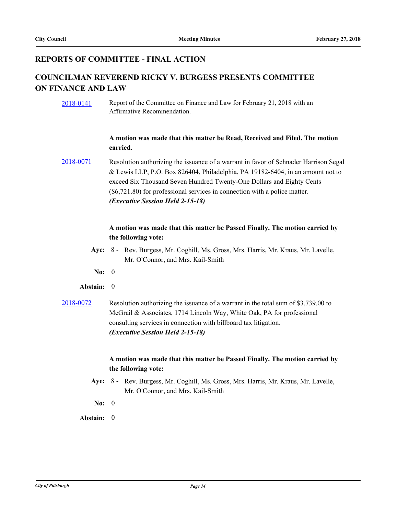# **REPORTS OF COMMITTEE - FINAL ACTION**

# **COUNCILMAN REVEREND RICKY V. BURGESS PRESENTS COMMITTEE ON FINANCE AND LAW**

[2018-0141](http://pittsburgh.legistar.com/gateway.aspx?m=l&id=/matter.aspx?key=22440) Report of the Committee on Finance and Law for February 21, 2018 with an Affirmative Recommendation.

# **A motion was made that this matter be Read, Received and Filed. The motion carried.**

[2018-0071](http://pittsburgh.legistar.com/gateway.aspx?m=l&id=/matter.aspx?key=22370) Resolution authorizing the issuance of a warrant in favor of Schnader Harrison Segal & Lewis LLP, P.O. Box 826404, Philadelphia, PA 19182-6404, in an amount not to exceed Six Thousand Seven Hundred Twenty-One Dollars and Eighty Cents (\$6,721.80) for professional services in connection with a police matter. *(Executive Session Held 2-15-18)*

# **A motion was made that this matter be Passed Finally. The motion carried by the following vote:**

- Aye: 8 Rev. Burgess, Mr. Coghill, Ms. Gross, Mrs. Harris, Mr. Kraus, Mr. Lavelle, Mr. O'Connor, and Mrs. Kail-Smith
- **No:** 0

# **Abstain:** 0

[2018-0072](http://pittsburgh.legistar.com/gateway.aspx?m=l&id=/matter.aspx?key=22371) Resolution authorizing the issuance of a warrant in the total sum of \$3,739.00 to McGrail & Associates, 1714 Lincoln Way, White Oak, PA for professional consulting services in connection with billboard tax litigation. *(Executive Session Held 2-15-18)*

# **A motion was made that this matter be Passed Finally. The motion carried by the following vote:**

- Aye: 8 Rev. Burgess, Mr. Coghill, Ms. Gross, Mrs. Harris, Mr. Kraus, Mr. Lavelle, Mr. O'Connor, and Mrs. Kail-Smith
- **No:** 0
- **Abstain:** 0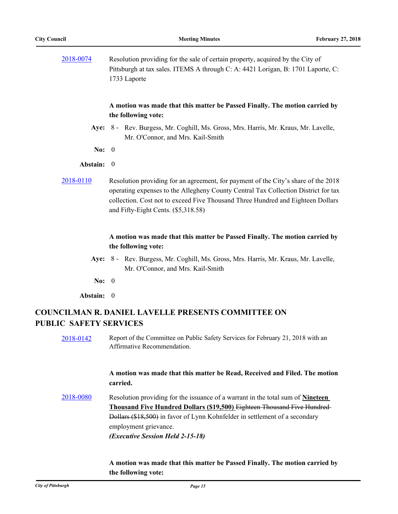[2018-0074](http://pittsburgh.legistar.com/gateway.aspx?m=l&id=/matter.aspx?key=22373) Resolution providing for the sale of certain property, acquired by the City of Pittsburgh at tax sales. ITEMS A through C: A: 4421 Lorigan, B: 1701 Laporte, C: 1733 Laporte

## **A motion was made that this matter be Passed Finally. The motion carried by the following vote:**

- Aye: 8 Rev. Burgess, Mr. Coghill, Ms. Gross, Mrs. Harris, Mr. Kraus, Mr. Lavelle, Mr. O'Connor, and Mrs. Kail-Smith
- **No:** 0

## **Abstain:** 0

[2018-0110](http://pittsburgh.legistar.com/gateway.aspx?m=l&id=/matter.aspx?key=22409) Resolution providing for an agreement, for payment of the City's share of the 2018 operating expenses to the Allegheny County Central Tax Collection District for tax collection. Cost not to exceed Five Thousand Three Hundred and Eighteen Dollars and Fifty-Eight Cents. (\$5,318.58)

# **A motion was made that this matter be Passed Finally. The motion carried by the following vote:**

- Aye: 8 Rev. Burgess, Mr. Coghill, Ms. Gross, Mrs. Harris, Mr. Kraus, Mr. Lavelle, Mr. O'Connor, and Mrs. Kail-Smith
- **No:** 0
- **Abstain:** 0

# **COUNCILMAN R. DANIEL LAVELLE PRESENTS COMMITTEE ON PUBLIC SAFETY SERVICES**

[2018-0142](http://pittsburgh.legistar.com/gateway.aspx?m=l&id=/matter.aspx?key=22441) Report of the Committee on Public Safety Services for February 21, 2018 with an Affirmative Recommendation.

## **A motion was made that this matter be Read, Received and Filed. The motion carried.**

[2018-0080](http://pittsburgh.legistar.com/gateway.aspx?m=l&id=/matter.aspx?key=22379) Resolution providing for the issuance of a warrant in the total sum of **Nineteen Thousand Five Hundred Dollars (\$19,500)** Eighteen Thousand Five Hundred Dollars (\$18,500) in favor of Lynn Kohnfelder in settlement of a secondary employment grievance. *(Executive Session Held 2-15-18)*

## **A motion was made that this matter be Passed Finally. The motion carried by the following vote:**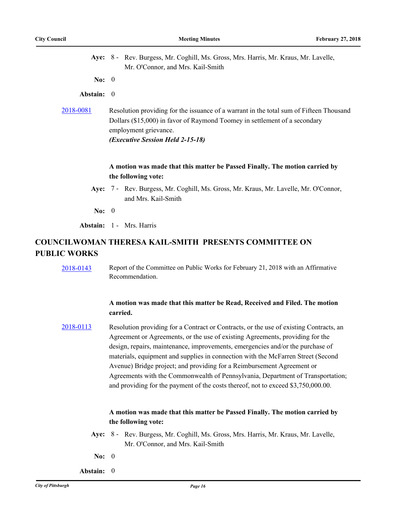| Aye: 8 - Rev. Burgess, Mr. Coghill, Ms. Gross, Mrs. Harris, Mr. Kraus, Mr. Lavelle,<br>Mr. O'Connor, and Mrs. Kail-Smith                                                                                                                    |
|---------------------------------------------------------------------------------------------------------------------------------------------------------------------------------------------------------------------------------------------|
| No: $0$                                                                                                                                                                                                                                     |
| Abstain: 0                                                                                                                                                                                                                                  |
| Resolution providing for the issuance of a warrant in the total sum of Fifteen Thousand<br>Dollars (\$15,000) in favor of Raymond Toomey in settlement of a secondary<br>employment grievance.<br>( <i>Executive Session Held 2-15-18</i> ) |
| A motion was made that this matter be Passed Finally. The motion carried by<br>the following vote:                                                                                                                                          |
| Aye: 7 - Rev. Burgess, Mr. Coghill, Ms. Gross, Mr. Kraus, Mr. Lavelle, Mr. O'Connor,<br>and Mrs. Kail-Smith                                                                                                                                 |
| No: $0$                                                                                                                                                                                                                                     |
| <b>Abstain:</b> 1 - Mrs. Harris                                                                                                                                                                                                             |
|                                                                                                                                                                                                                                             |

# **COUNCILWOMAN THERESA KAIL-SMITH PRESENTS COMMITTEE ON PUBLIC WORKS**

[2018-0143](http://pittsburgh.legistar.com/gateway.aspx?m=l&id=/matter.aspx?key=22442) Report of the Committee on Public Works for February 21, 2018 with an Affirmative Recommendation.

# **A motion was made that this matter be Read, Received and Filed. The motion carried.**

[2018-0113](http://pittsburgh.legistar.com/gateway.aspx?m=l&id=/matter.aspx?key=22412) Resolution providing for a Contract or Contracts, or the use of existing Contracts, an Agreement or Agreements, or the use of existing Agreements, providing for the design, repairs, maintenance, improvements, emergencies and/or the purchase of materials, equipment and supplies in connection with the McFarren Street (Second Avenue) Bridge project; and providing for a Reimbursement Agreement or Agreements with the Commonwealth of Pennsylvania, Department of Transportation; and providing for the payment of the costs thereof, not to exceed \$3,750,000.00.

# **A motion was made that this matter be Passed Finally. The motion carried by the following vote:**

- Aye: 8 Rev. Burgess, Mr. Coghill, Ms. Gross, Mrs. Harris, Mr. Kraus, Mr. Lavelle, Mr. O'Connor, and Mrs. Kail-Smith
- **No:** 0
- **Abstain:** 0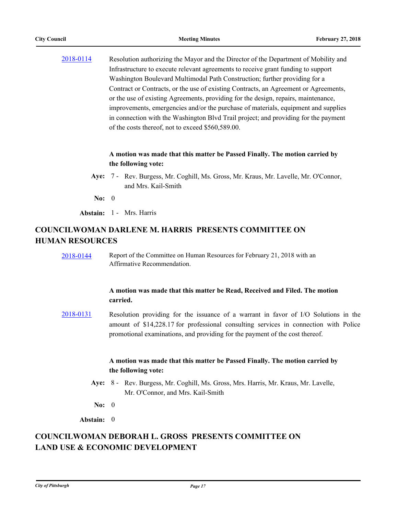[2018-0114](http://pittsburgh.legistar.com/gateway.aspx?m=l&id=/matter.aspx?key=22413) Resolution authorizing the Mayor and the Director of the Department of Mobility and Infrastructure to execute relevant agreements to receive grant funding to support Washington Boulevard Multimodal Path Construction; further providing for a Contract or Contracts, or the use of existing Contracts, an Agreement or Agreements, or the use of existing Agreements, providing for the design, repairs, maintenance, improvements, emergencies and/or the purchase of materials, equipment and supplies in connection with the Washington Blvd Trail project; and providing for the payment of the costs thereof, not to exceed \$560,589.00.

# **A motion was made that this matter be Passed Finally. The motion carried by the following vote:**

- Aye: 7 Rev. Burgess, Mr. Coghill, Ms. Gross, Mr. Kraus, Mr. Lavelle, Mr. O'Connor, and Mrs. Kail-Smith
	- **No:** 0

**Abstain:** 1 - Mrs. Harris

# **COUNCILWOMAN DARLENE M. HARRIS PRESENTS COMMITTEE ON HUMAN RESOURCES**

[2018-0144](http://pittsburgh.legistar.com/gateway.aspx?m=l&id=/matter.aspx?key=22443) Report of the Committee on Human Resources for February 21, 2018 with an Affirmative Recommendation.

## **A motion was made that this matter be Read, Received and Filed. The motion carried.**

[2018-0131](http://pittsburgh.legistar.com/gateway.aspx?m=l&id=/matter.aspx?key=22430) Resolution providing for the issuance of a warrant in favor of I/O Solutions in the amount of \$14,228.17 for professional consulting services in connection with Police promotional examinations, and providing for the payment of the cost thereof.

# **A motion was made that this matter be Passed Finally. The motion carried by the following vote:**

- Aye: 8 Rev. Burgess, Mr. Coghill, Ms. Gross, Mrs. Harris, Mr. Kraus, Mr. Lavelle, Mr. O'Connor, and Mrs. Kail-Smith
- **No:** 0

**Abstain:** 0

# **COUNCILWOMAN DEBORAH L. GROSS PRESENTS COMMITTEE ON LAND USE & ECONOMIC DEVELOPMENT**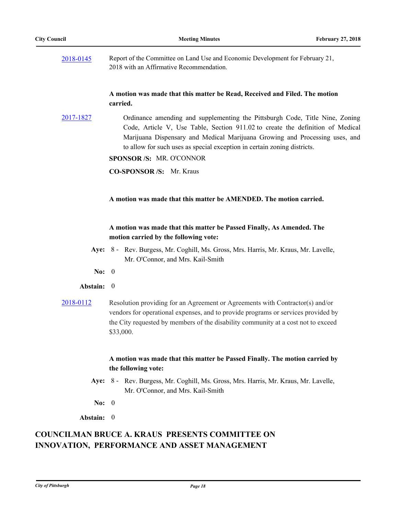| 2018-0145 | Report of the Committee on Land Use and Economic Development for February 21, |
|-----------|-------------------------------------------------------------------------------|
|           | 2018 with an Affirmative Recommendation.                                      |

## **A motion was made that this matter be Read, Received and Filed. The motion carried.**

[2017-1827](http://pittsburgh.legistar.com/gateway.aspx?m=l&id=/matter.aspx?key=21801) Ordinance amending and supplementing the Pittsburgh Code, Title Nine, Zoning Code, Article V, Use Table, Section 911.02 to create the definition of Medical Marijuana Dispensary and Medical Marijuana Growing and Processing uses, and to allow for such uses as special exception in certain zoning districts.

**SPONSOR /S:** MR. O'CONNOR

**CO-SPONSOR /S:** Mr. Kraus

## **A motion was made that this matter be AMENDED. The motion carried.**

## **A motion was made that this matter be Passed Finally, As Amended. The motion carried by the following vote:**

- Aye: 8 Rev. Burgess, Mr. Coghill, Ms. Gross, Mrs. Harris, Mr. Kraus, Mr. Lavelle, Mr. O'Connor, and Mrs. Kail-Smith
- **No:** 0

## **Abstain:** 0

[2018-0112](http://pittsburgh.legistar.com/gateway.aspx?m=l&id=/matter.aspx?key=22411) Resolution providing for an Agreement or Agreements with Contractor(s) and/or vendors for operational expenses, and to provide programs or services provided by the City requested by members of the disability community at a cost not to exceed \$33,000.

# **A motion was made that this matter be Passed Finally. The motion carried by the following vote:**

- Aye: 8 Rev. Burgess, Mr. Coghill, Ms. Gross, Mrs. Harris, Mr. Kraus, Mr. Lavelle, Mr. O'Connor, and Mrs. Kail-Smith
- **No:** 0

**Abstain:** 0

# **COUNCILMAN BRUCE A. KRAUS PRESENTS COMMITTEE ON INNOVATION, PERFORMANCE AND ASSET MANAGEMENT**